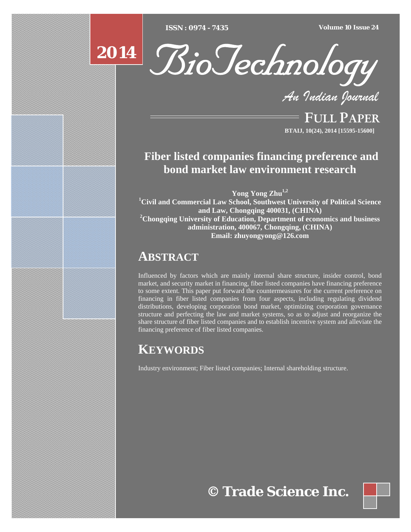[Type text] [Type text] [Type text] *ISSN : 0974 - 7435 Volume 10 Issue 24*





*An Indian Journal*

FULL PAPER **BTAIJ, 10(24), 2014 [15595-15600]**

## **Fiber listed companies financing preference and bond market law environment research**

**Yong Yong Zhu1,2**

**1 Civil and Commercial Law School, Southwest University of Political Science and Law, Chongqing 400031, (CHINA) 2 Chongqing University of Education, Department of economics and business administration, 400067, Chongqing, (CHINA) Email: zhuyongyong@126.com** 

## **ABSTRACT**

Influenced by factors which are mainly internal share structure, insider control, bond market, and security market in financing, fiber listed companies have financing preference to some extent. This paper put forward the countermeasures for the current preference on financing in fiber listed companies from four aspects, including regulating dividend distributions, developing corporation bond market, optimizing corporation governance structure and perfecting the law and market systems, so as to adjust and reorganize the share structure of fiber listed companies and to establish incentive system and alleviate the financing preference of fiber listed companies.

# **KEYWORDS**

Industry environment; Fiber listed companies; Internal shareholding structure.

**© Trade Science Inc.**

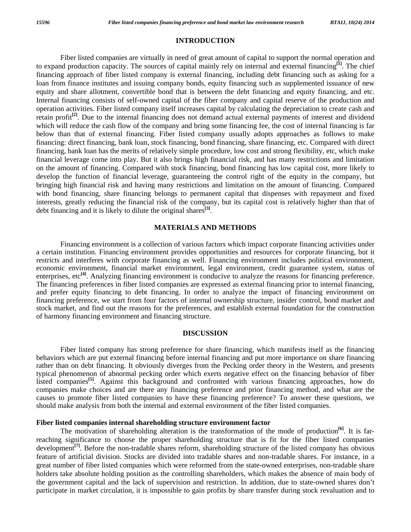#### **INTRODUCTION**

 Fiber listed companies are virtually in need of great amount of capital to support the normal operation and to expand production capacity. The sources of capital mainly rely on internal and external financing**[1]**. The chief financing approach of fiber listed company is external financing, including debt financing such as asking for a loan from finance institutes and issuing company bonds, equity financing such as supplemented issuance of new equity and share allotment, convertible bond that is between the debt financing and equity financing, and etc. Internal financing consists of self-owned capital of the fiber company and capital reserve of the production and operation activities. Fiber listed company itself increases capital by calculating the depreciation to create cash and retain profit<sup>[2]</sup>. Due to the internal financing does not demand actual external payments of interest and dividend which will reduce the cash flow of the company and bring some financing fee, the cost of internal financing is far below than that of external financing. Fiber listed company usually adopts approaches as follows to make financing: direct financing, bank loan, stock financing, bond financing, share financing, etc. Compared with direct financing, bank loan has the merits of relatively simple procedure, low cost and strong flexibility, etc, which make financial leverage come into play. But it also brings high financial risk, and has many restrictions and limitation on the amount of financing. Compared with stock financing, bond financing has low capital cost, more likely to develop the function of financial leverage, guaranteeing the control right of the equity in the company, but bringing high financial risk and having many restrictions and limitation on the amount of financing. Compared with bond financing, share financing belongs to permanent capital that dispenses with repayment and fixed interests, greatly reducing the financial risk of the company, but its capital cost is relatively higher than that of debt financing and it is likely to dilute the original shares**[3]**.

## **MATERIALS AND METHODS**

 Financing environment is a collection of various factors which impact corporate financing activities under a certain institution. Financing environment provides opportunities and resources for corporate financing, but it restricts and interferes with corporate financing as well. Financing environment includes political environment, economic environment, financial market environment, legal environment, credit guarantee system, status of enterprises, etc<sup>[4]</sup>. Analyzing financing environment is conducive to analyze the reasons for financing preference. The financing preferences in fiber listed companies are expressed as external financing prior to internal financing, and prefer equity financing to debt financing. In order to analyze the impact of financing environment on financing preference, we start from four factors of internal ownership structure, insider control, bond market and stock market, and find out the reasons for the preferences, and establish external foundation for the construction of harmony financing environment and financing structure.

## **DISCUSSION**

 Fiber listed company has strong preference for share financing, which manifests itself as the financing behaviors which are put external financing before internal financing and put more importance on share financing rather than on debt financing. It obviously diverges from the Pecking order theory in the Western, and presents typical phenomenon of abnormal pecking order which exerts negative effect on the financing behavior of fiber listed companies**[5]**. Against this background and confronted with various financing approaches, how do companies make choices and are there any financing preference and prior financing method, and what are the causes to promote fiber listed companies to have these financing preference? To answer these questions, we should make analysis from both the internal and external environment of the fiber listed companies.

## **Fiber listed companies internal shareholding structure environment factor**

 The motivation of shareholding alteration is the transformation of the mode of production**[6]**. It is farreaching significance to choose the proper shareholding structure that is fit for the fiber listed companies development<sup>[7]</sup>. Before the non-tradable shares reform, shareholding structure of the listed company has obvious feature of artificial division. Stocks are divided into tradable shares and non-tradable shares. For instance, in a great number of fiber listed companies which were reformed from the state-owned enterprises, non-tradable share holders take absolute holding position as the controlling shareholders, which makes the absence of main body of the government capital and the lack of supervision and restriction. In addition, due to state-owned shares don't participate in market circulation, it is impossible to gain profits by share transfer during stock revaluation and to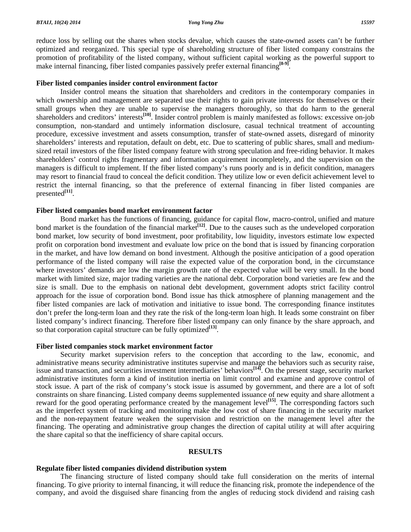reduce loss by selling out the shares when stocks devalue, which causes the state-owned assets can't be further optimized and reorganized. This special type of shareholding structure of fiber listed company constrains the promotion of profitability of the listed company, without sufficient capital working as the powerful support to make internal financing, fiber listed companies passively prefer external financing<sup>[8-9]</sup>.

## **Fiber listed companies insider control environment factor**

 Insider control means the situation that shareholders and creditors in the contemporary companies in which ownership and management are separated use their rights to gain private interests for themselves or their small groups when they are unable to supervise the managers thoroughly, so that do harm to the general shareholders and creditors' interests<sup>[10]</sup>. Insider control problem is mainly manifested as follows: excessive on-job consumption, non-standard and untimely information disclosure, casual technical treatment of accounting procedure, excessive investment and assets consumption, transfer of state-owned assets, disregard of minority shareholders' interests and reputation, default on debt, etc. Due to scattering of public shares, small and mediumsized retail investors of the fiber listed company feature with strong speculation and free-riding behavior. It makes shareholders' control rights fragmentary and information acquirement incompletely, and the supervision on the managers is difficult to implement. If the fiber listed company's runs poorly and is in deficit condition, managers may resort to financial fraud to conceal the deficit condition. They utilize low or even deficit achievement level to restrict the internal financing, so that the preference of external financing in fiber listed companies are presented**[11]**.

#### **Fiber listed companies bond market environment factor**

 Bond market has the functions of financing, guidance for capital flow, macro-control, unified and mature bond market is the foundation of the financial market<sup>[12]</sup>. Due to the causes such as the undeveloped corporation bond market, low security of bond investment, poor profitability, low liquidity, investors estimate low expected profit on corporation bond investment and evaluate low price on the bond that is issued by financing corporation in the market, and have low demand on bond investment. Although the positive anticipation of a good operation performance of the listed company will raise the expected value of the corporation bond, in the circumstance where investors' demands are low the margin growth rate of the expected value will be very small. In the bond market with limited size, major trading varieties are the national debt. Corporation bond varieties are few and the size is small. Due to the emphasis on national debt development, government adopts strict facility control approach for the issue of corporation bond. Bond issue has thick atmosphere of planning management and the fiber listed companies are lack of motivation and initiative to issue bond. The corresponding finance institutes don't prefer the long-term loan and they rate the risk of the long-term loan high. It leads some constraint on fiber listed company's indirect financing. Therefore fiber listed company can only finance by the share approach, and so that corporation capital structure can be fully optimized<sup>[13]</sup>.

#### **Fiber listed companies stock market environment factor**

 Security market supervision refers to the conception that according to the law, economic, and administrative means security administrative institutes supervise and manage the behaviors such as security raise, issue and transaction, and securities investment intermediaries' behaviors<sup>[14]</sup>. On the present stage, security market administrative institutes form a kind of institution inertia on limit control and examine and approve control of stock issue. A part of the risk of company's stock issue is assumed by government, and there are a lot of soft constraints on share financing. Listed company deems supplemented issuance of new equity and share allotment a reward for the good operating performance created by the management level<sup>[15]</sup>. The corresponding factors such as the imperfect system of tracking and monitoring make the low cost of share financing in the security market and the non-repayment feature weaken the supervision and restriction on the management level after the financing. The operating and administrative group changes the direction of capital utility at will after acquiring the share capital so that the inefficiency of share capital occurs.

## **RESULTS**

#### **Regulate fiber listed companies dividend distribution system**

 The financing structure of listed company should take full consideration on the merits of internal financing. To give priority to internal financing, it will reduce the financing risk, promote the independence of the company, and avoid the disguised share financing from the angles of reducing stock dividend and raising cash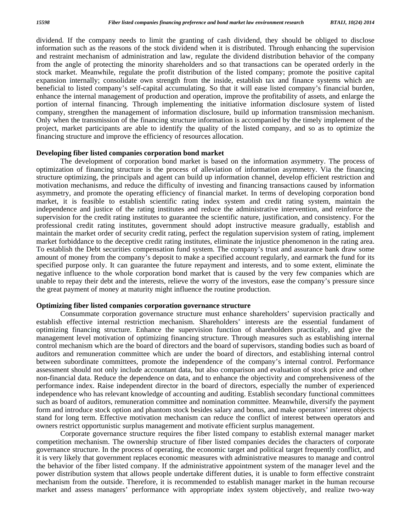dividend. If the company needs to limit the granting of cash dividend, they should be obliged to disclose information such as the reasons of the stock dividend when it is distributed. Through enhancing the supervision and restraint mechanism of administration and law, regulate the dividend distribution behavior of the company from the angle of protecting the minority shareholders and so that transactions can be operated orderly in the stock market. Meanwhile, regulate the profit distribution of the listed company; promote the positive capital expansion internally; consolidate own strength from the inside, establish tax and finance systems which are beneficial to listed company's self-capital accumulating. So that it will ease listed company's financial burden, enhance the internal management of production and operation, improve the profitability of assets, and enlarge the portion of internal financing. Through implementing the initiative information disclosure system of listed company, strengthen the management of information disclosure, build up information transmission mechanism. Only when the transmission of the financing structure information is accompanied by the timely implement of the project, market participants are able to identify the quality of the listed company, and so as to optimize the financing structure and improve the efficiency of resources allocation.

#### **Developing fiber listed companies corporation bond market**

 The development of corporation bond market is based on the information asymmetry. The process of optimization of financing structure is the process of alleviation of information asymmetry. Via the financing structure optimizing, the principals and agent can build up information channel, develop efficient restriction and motivation mechanisms, and reduce the difficulty of investing and financing transactions caused by information asymmetry, and promote the operating efficiency of financial market. In terms of developing corporation bond market, it is feasible to establish scientific rating index system and credit rating system, maintain the independence and justice of the rating institutes and reduce the administrative intervention, and reinforce the supervision for the credit rating institutes to guarantee the scientific nature, justification, and consistency. For the professional credit rating institutes, government should adopt instructive measure gradually, establish and maintain the market order of security credit rating, perfect the regulation supervision system of rating, implement market forbiddance to the deceptive credit rating institutes, eliminate the injustice phenomenon in the rating area. To establish the Debt securities compensation fund system. The company's trust and assurance bank draw some amount of money from the company's deposit to make a specified account regularly, and earmark the fund for its specified purpose only. It can guarantee the future repayment and interests, and to some extent, eliminate the negative influence to the whole corporation bond market that is caused by the very few companies which are unable to repay their debt and the interests, relieve the worry of the investors, ease the company's pressure since the great payment of money at maturity might influence the routine production.

#### **Optimizing fiber listed companies corporation governance structure**

 Consummate corporation governance structure must enhance shareholders' supervision practically and establish effective internal restriction mechanism. Shareholders' interests are the essential fundament of optimizing financing structure. Enhance the supervision function of shareholders practically, and give the management level motivation of optimizing financing structure. Through measures such as establishing internal control mechanism which are the board of directors and the board of supervisors, standing bodies such as board of auditors and remuneration committee which are under the board of directors, and establishing internal control between subordinate committees, promote the independence of the company's internal control. Performance assessment should not only include accountant data, but also comparison and evaluation of stock price and other non-financial data. Reduce the dependence on data, and to enhance the objectivity and comprehensiveness of the performance index. Raise independent director in the board of directors, especially the number of experienced independence who has relevant knowledge of accounting and auditing. Establish secondary functional committees such as board of auditors, remuneration committee and nomination committee. Meanwhile, diversify the payment form and introduce stock option and phantom stock besides salary and bonus, and make operators' interest objects stand for long term. Effective motivation mechanism can reduce the conflict of interest between operators and owners restrict opportunistic surplus management and motivate efficient surplus management.

 Corporate governance structure requires the fiber listed company to establish external manager market competition mechanism. The ownership structure of fiber listed companies decides the characters of corporate governance structure. In the process of operating, the economic target and political target frequently conflict, and it is very likely that government replaces economic measures with administrative measures to manage and control the behavior of the fiber listed company. If the administrative appointment system of the manager level and the power distribution system that allows people undertake different duties, it is unable to form effective constraint mechanism from the outside. Therefore, it is recommended to establish manager market in the human recourse market and assess managers' performance with appropriate index system objectively, and realize two-way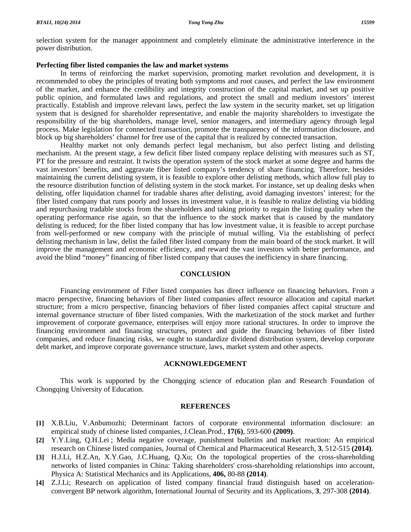selection system for the manager appointment and completely eliminate the administrative interference in the power distribution.

## **Perfecting fiber listed companies the law and market systems**

 In terms of reinforcing the market supervision, promoting market revolution and development, it is recommended to obey the principles of treating both symptoms and root causes, and perfect the law environment of the market, and enhance the credibility and integrity construction of the capital market, and set up positive public opinion, and formulated laws and regulations, and protect the small and medium investors' interest practically. Establish and improve relevant laws, perfect the law system in the security market, set up litigation system that is designed for shareholder representative, and enable the majority shareholders to investigate the responsibility of the big shareholders, manage level, senior managers, and intermediary agency through legal process. Make legislation for connected transaction, promote the transparency of the information disclosure, and block up big shareholders' channel for free use of the capital that is realized by connected transaction.

 Healthy market not only demands perfect legal mechanism, but also perfect listing and delisting mechanism. At the present stage, a few deficit fiber listed company replace delisting with measures such as ST, PT for the pressure and restraint. It twists the operation system of the stock market at some degree and harms the vast investors' benefits, and aggravate fiber listed company's tendency of share financing. Therefore, besides maintaining the current delisting system, it is feasible to explore other delisting methods, which allow full play to the resource distribution function of delisting system in the stock market. For instance, set up dealing desks when delisting, offer liquidation channel for tradable shares after delisting, avoid damaging investors' interest; for the fiber listed company that runs poorly and losses its investment value, it is feasible to realize delisting via bidding and repurchasing tradable stocks from the shareholders and taking priority to regain the listing quality when the operating performance rise again, so that the influence to the stock market that is caused by the mandatory delisting is reduced; for the fiber listed company that has low investment value, it is feasible to accept purchase from well-performed or new company with the principle of mutual willing. Via the establishing of perfect delisting mechanism in law, delist the failed fiber listed company from the main board of the stock market. It will improve the management and economic efficiency, and reward the vast investors with better performance, and avoid the blind "money" financing of fiber listed company that causes the inefficiency in share financing.

#### **CONCLUSION**

 Financing environment of Fiber listed companies has direct influence on financing behaviors. From a macro perspective, financing behaviors of fiber listed companies affect resource allocation and capital market structure; from a micro perspective, financing behaviors of fiber listed companies affect capital structure and internal governance structure of fiber listed companies. With the marketization of the stock market and further improvement of corporate governance, enterprises will enjoy more rational structures. In order to improve the financing environment and financing structures, protect and guide the financing behaviors of fiber listed companies, and reduce financing risks, we ought to standardize dividend distribution system, develop corporate debt market, and improve corporate governance structure, laws, market system and other aspects.

## **ACKNOWLEDGEMENT**

This work is supported by the Chongqing science of education plan and Research Foundation of Chongqing University of Education.

#### **REFERENCES**

- **[1]** X.B.Liu, V.Anbumozhi; Determinant factors of corporate environmental information disclosure: an empirical study of chinese listed companies, J.Clean.Prod., **17(6)**, 593-600 **(2009)**.
- **[2]** Y.Y.Ling, Q.H.Lei ; Media negative coverage, punishment bulletins and market reaction: An empirical research on Chinese listed companies, Journal of Chemical and Pharmaceutical Research, **3**, 512-515 **(2014)**.
- **[3]** H.J.Li, H.Z.An, X.Y.Gao, J.C.Huang, Q.Xu; On the topological properties of the cross-shareholding networks of listed companies in China: Taking shareholders' cross-shareholding relationships into account, Physica A: Statistical Mechanics and its Applications, **406,** 80-88 **(2014)**.
- **[4]** Z.J.Li; Research on application of listed company financial fraud distinguish based on accelerationconvergent BP network algorithm, International Journal of Security and its Applications, **3**, 297-308 **(2014)**.